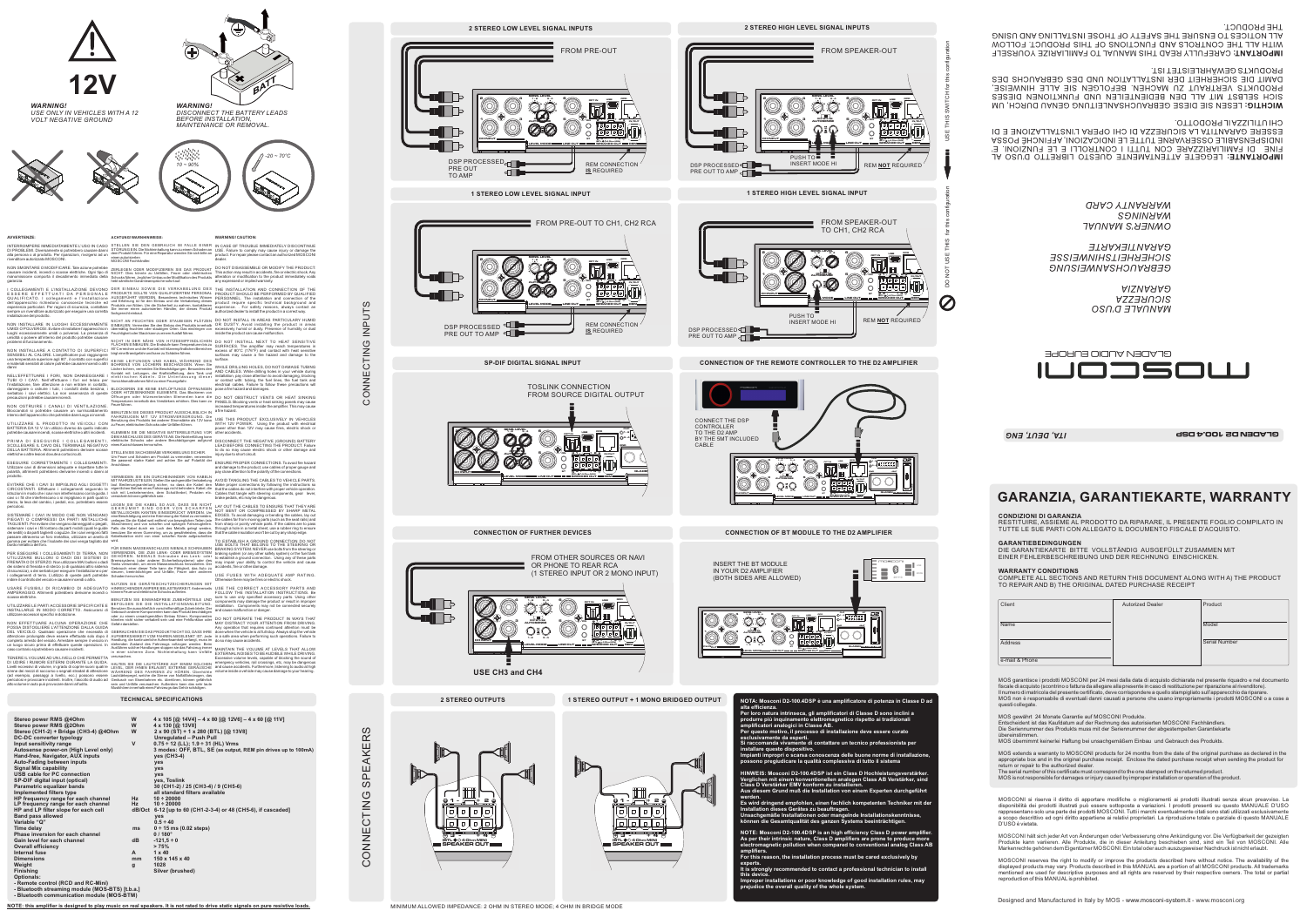**CONNECTION OF FURTHER DEVICES**

## *MANUALE D'USO SICUREZZA GARANZIA*

*GEBRAUCHSANWEISUNG SICHERHEITSHINWEISSE GARANTIEKARTE*

*OWNER'S MANUAL WARNINGS WARRANTY CARD*

*WARNING!*

*DISCONNECT THE BATTERY LEADS*

*BEFORE INSTALLATION, MAINTENANCE OR REMOVAL.*



*WARNING! USE ONLY IN VEHICLES WITH A 12 VOLT NEGATIVE GROUND*



MOSCONI si riserva il diritto di apportare modifiche <sup>o</sup> miglioramenti ai prodotti illustrati senza alcun preavviso. La disponibilità dei prodotti illustrati può essere sottoposta <sup>a</sup> variazioni. I prodotti presenti su questo MANUALE D'USO rappresentano solo una parte dei prodotti MOSCONI. Tutti i marchi eventualmente citati sono stati utilizzati esclusivamente <sup>a</sup> scopo descrittivo ed ogni diritto appartiene ai relativi proprietari. La riproduzione totale <sup>o</sup> parziale di questo MANUALE

D'USO è vietata.

MOSCONI hält sich jeder Art von Änderungen oder Verbesserung ohne Ankündigung vor. Die Verfügbarkeit der gezeigten Produkte kann variieren. Alle Produkte, die in dieser Anleitung beschieben sind, sind ein Teil von MOSCONI. Alle Markenrechte gehören dem Eigentümer MOSCONI. Ein total oder auch auszugsweiser Nachdruck ist nicht erlaubt.

# **GARANZIA, GARANTIEKARTE, WARRANTY**

**CONDIZIONI DI GARANZIA**

RESTITUIRE, ASSIEME AL PRODOTTO DA RIPARARE, IL PRESENTE FOGLIO COMPILATO IN

TUTTE LE SUE PARTI CON ALLEGATO IL DOCUMENTO FISCALE D'ACQUISTO.

**GARANTIEBEDINGUNGEN**

 DIE GARANTIEKARTE BITTE VOLLSTÄNDIG AUSGEFÜLLT ZUSAMMEN MITEINER FEHLERBESCHREIBUNG UND DER RECHNUNG EINSCHICKEN.

**WARRANTY CONDITIONS**

COMPLETE ALL SECTIONS AND RETURN THIS DOCUMENT ALONG WITH A) THE PRODUCT

TO REPAIR AND B) THE ORIGINAL DATED PURCHASE RECEIPT

Client **Autorized Dealer** 

MOS garantisce i prodotti MOSCONI per 24 mesi dalla data di acquisto dichiarata nel presente riquadro <sup>e</sup> nel documento fiscale di acquisto (scontrino <sup>o</sup> fattura da allegare alla presente in caso di restituzione per riparazione al rivenditore). Il numero di matricola del presente certificato, deve corrispondere <sup>a</sup> quello stampigliato sull'apparecchio da riparare. MOS non è responsabile di eventuali danni causati <sup>a</sup> persone che usano impropriamente i prodotti MOSCONl <sup>o</sup> <sup>a</sup> cose <sup>a</sup>

| والمناو للمالية فالمتحدث والمتحدث والمتحدث والمتحدث والمتحدث والمتحدث والمتحدث والمتحدث | MOSCONI reserves the right to modify or improve the products described here without notice. The availability of the                                                                                                                              |
|-----------------------------------------------------------------------------------------|--------------------------------------------------------------------------------------------------------------------------------------------------------------------------------------------------------------------------------------------------|
| contact a professional technician to install                                            | displayed products may vary. Products described in this MANUAL are a portion of all MOSCONI products. All trademarks<br>mentioned are used for descriptive purposes and all rights are reserved by their respective owners. The total or partial |
| knowledge of good installation rules, may<br>f the whole svstem.                        | reproduction of this MANUAL is prohibited.                                                                                                                                                                                                       |
|                                                                                         | Designed and Manufactured in Italy by MOS - www.mosconi-system.it - www.mosconi.org                                                                                                                                                              |

questi collegate.

MOS gewährt 24 Monate Garantie auf MOSCONI Produkte.

Entscheident ist das Kaufdatum auf der Rechnung des autorisierten MOSCONI Fachhändlers. Die Seriennummer des Produkts muss mit der Seriennummer der abgestempelten Garantiekarte

übereinstimmen.

MOS übernimmt keinerlei Haftung bei unsachgemäßem Einbau und Gebrauch des Produkts.

MOS extends a warranty to MOSCONI products for 24 months from the date of the original purchase as declared in the appropriate box and in the original purchase receipt. Enclose the dated purchase receipt when sending the product for return or repair to the authorized dealer.

The serial number of this certificate must correspond to the one stamped on the returned product. MOS is not responsible for damages or injury caused by improper installation or operation of the product.

Name

Address

e-mail & Phone

Serial Number

Product

**GLADEN D2 100.4 DSP**

**Model** 

INTERROMPERE IMMEDIATAMENTE L'USO IN CASO DI PROBLEMI. Diversamente si potrebbero causare danni alla persona <sup>o</sup> al prodotto. Per riparazioni, rivolgersi ad un rivenditore autorizzato MOSCONI. STELLEN SIE DEN GEBRAUCH IM FALLE EINER<br>STÖRUNG EIN. Die Nichteinhaltung kann zu einem Schaden an<br>dem Produkt führen. Für eine Reparatur wenden Sie sich bitte an<br>einen autorisierten<br>MOSCONI Fachhändler.





**2 STEREO OUTPUTS 1 STEREO OUTPUT + 1 MONO BRIDGED OUTPUT**

**SP-DIF DIGITAL SIGNAL INPUT**



UMIDIOPOLVEROSI. Evitare di installare l'apparecchio in übermäßig feuchten oder staubigen Orten. Das eindringen von excessively humid or dusty. Presence of humidity or dust<br>luoghi eccessivamente umidi o polverosi. La prese umidità <sup>o</sup> polvere all'interno del prodotto potrebbe causare problemi di funzionamento.



# *10 ~ 90%*

una temperatura superiore agli 80°, il contatto con superfici<br>danni<br>danni<br>NELL'EFFETTUARE I FORI, NON DANNEGGIARE I<br>NELL'EFFETTUARE I FORI, NON DANNEGGIARE I<br>TUBI O I CAVI. Nell'effettuare i fori nel telaio per<br>l'installaz danneggiare <sup>o</sup> ostruire i tubi, i condotti della benzina, i serbatoio i cavi elettrici. La non osservanza di queste precauzioni potrebbe causare incendi.





**2 STEREO HIGH LEVEL SIGNAL INPUTS**

**1 5**

**3**

FROM SPEAKER-OUT **OPT INN** USB **2RCD4 +BAT SENS. LEVEL1 - 23 - 4-**

**DAN** 

**1 -**

**+ 2**

**AUTOSENSE**

**IN/OUT**

**OFFBTL SE**





ZERLEGEN ODER MODIFIZIEREN SIE DAS PRODUKT NICHT: Dies könnte zu Unfällen, Feuer oder elektrischen Schocks führen. Jeglicher Umbau oder Modifikation des Produkts hebt sämtliche Garantieansprüche sofort auf. DER EINBAU SOWIE DIE VIERRABELUNG DES<br>PRODUKTS SOLLTE VON QUALIFIZIERTEM PERSONAL<br>AUSGEFÜHRT WERDEN. Besonderes technisches Wissen<br>and Erfahrung ist für den Einbau und die Verkabelung dieses<br>Produkts von Nöten. Um die Sich

NICHT IN THE STATE OF THE STATE OF THE STATE OF STATE IS A FEUCHTEN ODER STATE OF NOT INSTALL IN AREAS PARTICULARY HUMID<br>NON INSTALLARE IN LUOGHI ECCESSIVAMENTE EINBAUEN.Vermeiden Sie den Einbau des Produks innehalb OR DUS

NICHT IN DER NÄHE VON HITZEEMPFINDLICHEN<br>FLÄCHEN EINBAUEN. Die Endstufe kann Temperaturen bis zu<br>80ˆC erreichen und der Kontakt mit hitzeempfindlichen Bereichen<br>birgt eine Brandgefahr und kann zu Schäden führen. KEINE LEITUNGEN UND KABEL WÄHREND DES<br>BOHRENS VON LÖCHERN BESCHÄDIGEN. Wenn Sie<br>Löcher bohren, vermeiden Sie Beschädigungen. Besonders den<br>Kontakt mit: Leitungen, der Kraftstoffleitung, dem Tank und<br>elektrischen Kabeln. Di

BLOCKIEREN SIE KEINE ENTLÜFTUNGS ÖFFNUNGEN<br>ODER HITZESENKENDE ELEMENTE. Das Blockieren von<br>Temperaturen innerhalb des Verslärkers erhöhen. Dies kann zu die<br>Temperaturen innerhalb des Verslärkers erhöhen. Dies kann zu<br>BENUT

KLEMMEN SIE DIE NEGATIVE BATTERIELEITUNG VOR<br>DEM ANSCHLUSS DES GERÄTS AB. Die Nichterfüllung kann

STELLEN SIE SACHGEMÄßE VERKABELUNG SICHER.<br>Um Feuer und Schaden am Produkt zu vermeiden, verwenden<br>Sie passend starke Kabel und achten Sie auf Polarität der<br>Anschlüsse.

LEGGETE ATTENTAMENTE QUESTO LIBRETTO D'USO AL **IMPORTANTE:** FINE DI FAMILIARIZZARE CON TUTTI I CONTROLLI E LE FUNZIONI. E' INDISPENSABILE OSSERVARNE TUTTE LE INDICAZIONI, AFFINCHÉ POSSA ESSERE GARANTITA LA SICUREZZA DI CHI OPERA L'INSTALLAZIONE E DI CHI UTILIZZAIL PRODOTTO.

LESEN SIE DIESE GEBRAUCHSANLEITUNG GENAU DURCH, UM **WICHTIG:** SICH SELBST MIT ALL DEN BEDIENTEILEN UND FUNKTIONEN DIESES PRODUKTS VERTRAUT ZU MACHEN. BEFOLGEN SIE ALLE HINWEISE, DAMIT DIE SICHERHEIT DER INSTALLATION UND DES GEBRAUCHS DES PRODUKTS GEWÄHRLEISTET IST.

CAREFULLY READ THIS MANUAL TO FAMILIARIZE YOURSELF **IMPORTANT:** WITH ALL THE CONTROLS AND FUNCTIONS OF THIS PRODUCT. FOLLOW ALL NOTICES TO ENSURE THE SAFETY OF THOSE INSTALLING AND USING THE PRODUCT.

VERMEIDEN SIE EIN DURCHEINANDER VON KABELN MIT FAHRZEUGTEILEN. Stellen Sie sachgemäße Verkabelung<br>laut Bedienungsanleitung sicher, so dass die Kabel den<br>eigentlichen Betrieb eines Fahrzeugs nicht behindern. Kabel, die<br>sich mit Lenkelementen, dem Schalthebel, Pedale

LEGEN SIE DIE KABEL SO AUS, DASS SIE NICHT<br>CEREN SIE DIE KABEL SO AUS, DASS SIE NICHT<br>METALLISCHEN KANTEN EINGEDRÜCKT WERDEN. Um<br>eine Beschädigung und eine Krümmung der Kabel zu vermeiden,<br>eine Beschädigung und eine Krümmu

HINREICHEINDER AMPERE BELASTBARKEIT. Andererseits<br>Können Feuer und elektrische Schocks auftreten.<br>BENUTZEN SIE EINWANDFREIE ZUBEHÖRTEILE UND<br>BENUTZEN SIE DIE INSTALLATIONSANLEITUNG.<br>BENUTZEN SIE DIE INSTALLATIONSANLEITUNG.





**AVVERTENZE:**

I COLLEGAMENTI E L'INSTALLAZIONE DEVONOD<br>ESSERE EFFETTUATI DA PERSONALE<br>QUALIFICATO. I collegamenti e l'installazione<br>dell'apparecchio richiedono conoscenze tecniche ed<br>esperienza particolari. Per ragioni di sicurezza, con

NON SMONTARE O MODIFICARE. Tale azione potrebbe causare incidenti, incendi <sup>o</sup> scosse elettriche. Ogni tipo di manomissione comporta il decadimento immediato della garanzia.

NON INSTALLARE A CONTATTO DI SUPERFICI SENSIBILI AL CALORE. L'amplificatore può raggiungere

NON OSTRUIRE I CANALI DI VENTILAZIONE. Bloccandoli si potrebbe causare un surriscaldamento interno dell'apparecchio che potrebbe dare luogo <sup>a</sup> incendi.

surface.<br>WHILE DRILLING HOLES, DO NOT DAMAGE TUBING<br>AND CABLES. While drilling holes in your vehicle during<br>Installation, pay close attention to avoid damaging, blocking<br>or contact with: tubing, the fuel lines, the fuel ta pose <sup>a</sup> fire hazard and damages.

DO NOT OBSTRUCT VENTS OR HEAT SINKING<br>PANELS. Blocking vents or heat sinking panels may cause<br>increased temperatures inside the amplifier. This may cause<br>a fire hazard.<br>USE THIS PRODUCT EXCLUSIVELY IN VEHICLES<br>WITH 12V POW

UTILIZZARE IL PRODOTTO IN VEICOLI CON BATTERIA DA 12 V. Un utilizzo diverso da quello indicato potrebbe causare incendi, scosse elettriche <sup>o</sup> altri incidenti.

DELLA BATTERIA. Altrimenti potrebbero derivare scosse<br>elettriche o altre lesioni dovute a cortocircuiti.<br>ESEGUIRE CORRETTAMENTE I COLLEGAMENTI.<br>Utilizzare cavi di dimensioni adeguate e rispettare tutte le<br>prodotto.<br>prod

EVITARE CHE I CAVI SI IMPIGLINO AGLI OGGETTI<br>CIRCOSTANTI. Effettuare i collegamenti seguendo le<br>istruzioni in modo che i cavi non interferiscano con la guida. I<br>sterzo, la leva del cambio, i pedali, ecc. potrebbero essere<br>

SISTEMARE I CAVI IN MODO CHE NON VENGANO<br>PIEGATI O COMPRESSI DA PARTI METALLICHE<br>TACLIENTI.Perevitere che vengano danneggiati o piegati,<br>sistemare i cavi e i fili iontano da parti mobili (quali le guide<br>sistemare i cavi e

USARE FUSIBILI DI RICAMBIO DI ADEGUATO<br>AMPERAGGIO. Altrimenti potrebbero derivarne incendi o<br>scosse elettriche.<br>UTILIZZARE LE PARTIACCESSORIE SPECIFICATE E<br>INSTALLARLE IN MODO CORRETTO. Assicurarsi di<br>utilizzare accessori

NON EFFETTUARE ALCUNA OPERAZIONE CHE<br>POSSA DISTOGLIERE L'ATTENZIONE DALLA GUIDA<br>DEL VEICOLO. Qualsiasi operazione che necessita di<br>attenzione prolungata deve essere effettuata solo dopo il<br>completo arresto del veicolo. Arr

TENERE IL VOLUME AD UNILIVELLO CHE PERMETTA<br>DI UDIRE I RUMORI ESTERNI DURANTE LA GUIDA.<br>Livelli eccessivi di volume, in grado di coprire suoni quali le<br>sirene dei mezzi di soccorso o segnali stradail di atterizione<br>(ad ese

PRIMA DI ESEGUIRE I COLLEGAMENTI, <sup>elektrische Schocks</sup> oder andere Beschädigungen aufgrund DISCONNECTTHE NEGATIVE (GROUND) BATTERY<br>SCOLLEGARE IL CAVO DEL TERMINALE NEGATIVO eines Kurzschlusseshervorrufen. to do so may cause electric shock or other damage and injury due to short circuit.

# **ACHTUNG! WARNHINWEISE:**



## **WARNING! CAUTION:**

IN CASE OF TROUBLE IMMEDIATELY DISCONTINUE USE. Failure to comply may cause injury or damage the product. For repair please contact an authorized MOSCONI dealer.

DO NOT DISASSEMBLE OR MODIFY THE PRODUCT: This action may result in accidents, fire or electric shock.Any alteration or modification to the product immediately voids any expressed or implied warranty.

THE INSTALLATION AND CONNECTION OF THE<br>PRODUCT SHOULD BE PERFORMED BY QUALIFIED<br>PERSONNEL. The installation and connection of the<br>product require specific technical background and<br>experience. . For safety reasons, always c

DO NOT INSTALL NEXT TO HEAT SENSITIVE SURFACES. The amplifier may reach temperatures in excess of 80°C (176°F) and contact with heat sensitive surfaces may cause <sup>a</sup> fire hazard and damage to the

ENSURE PROPER CONNECTIONS. To avoid fire hazard and damage to the product, use cables of proper gauge and pay close attention to the polarity of the connections.

AVOID TANGLING THE CABLES TO VEHICLE PARTS.<br>Make proper connections by following the instructions so<br>that the cables do not interfere with proper vehicle operation.<br>Cables that tangle with steering components, gear lever,<br>

LAY OUT THE CABLES TO ENSURE THAT THEY ARE<br>NOT BENT OR COMPRESSED BY SHARP METAL<br>EDGES. To avoid damaging or bending the cables, lay out<br>the cables far from moving parts (such as the seat rails) and<br>from sharp or pointy ve

TO ESTABLISH A GROUND CONNECTION DO NOT<br>USE BOLTS THAT BELONG TO THE STEERING OR<br>BRAKING SYSTEM. NEVER use bolts from the steering or<br>braking system (or any other safety system) or the fuel tank<br>to establish a ground conne

USE FUSES WITH ADEQUATE AMP RATING. Otherwise there may be fires or electric shock.

USE THE CORRECT ACCESSORY PARTS AND<br>FOLLOW THE INSTALLATION INSTRUCTIONS. Be<br>sure to use only specified accessory parts. Using other<br>components may damage the product or result in improper<br>installation. Components may not

DO NOT OPERATE THE PRODUCT IN WAYS THAT<br>MAY DISTRACT YOUR ATTENTION FROM DRIVING.<br>Any operation that requires continued attention must be<br>done when the vehicle is at full stop. Always stop the vehicle<br>in a safe area when p

MAINTAIN THE VOLUME AT LEVELS THAT ALLOW.<br>EXTERNAL NOISES TO BE AUDIBLE WHILE DRIVING.<br>Excessive volume levels, capable of blocking the sound of<br>emergency vehicles, rail crossings, etc, may be dangerous<br>and cause accidents

**TECHNICAL SPECIFICATIONS**

**CONNECTION OF THE REMOTE CONTROLLER TO THE D2 AMPLIFIER**



**NOTA: Mosconi D2-100.4DSP è una amplificatore di potenza in Classe D ad alta efficienza. Per loro natura intrinseca, gli amplificatori di Classe D sono inclini a produrre più inquinamento elettromagnetico rispetto ai tradizionali amplificatori analogici in Classe AB.**



**prejudice the overall quality of the whole system.**

| Stereo power RMS @40hm                    | W            | $4 \times 105$ [@ 14V4] - $4 \times 80$ [@ 12V6] - $4 \times 60$ [@ 11V] |
|-------------------------------------------|--------------|--------------------------------------------------------------------------|
| Stereo power RMS @20hm                    | W            | 4 x 130 [@ 13V8]                                                         |
| Stereo (CH1-2) + Bridge (CH3-4) @40hm     | W            | $2 \times 90$ (ST) + 1 x 280 (BTL) [@ 13V8]                              |
| <b>DC-DC converter typology</b>           |              | Unregulated - Push Pull                                                  |
| Input sensitivity range                   | $\mathsf{v}$ | $0.75 \div 12$ (LL); $1.9 \div 31$ (HL) Vrms                             |
| Autosense power-on (High Level only)      |              | 3 modes: OFF, BTL, SE (as output, REM pin drives up to 100mA)            |
| Hand-free, Navigator, AUX inputs          |              | yes (CH3-4)                                                              |
| <b>Auto-Fading between inputs</b>         |              | <b>ves</b>                                                               |
| <b>Signal Mix capability</b>              |              | <b>ves</b>                                                               |
| USB cable for PC connection               |              | yes                                                                      |
| SP-DIF digital input (optical)            |              | yes, Toslink                                                             |
| Parametric equalizer bands                |              | 30 (CH1-2) / 25 (CH3-4) / 9 (CH5-6)                                      |
| Implemented filters type                  |              | all standard filters available                                           |
| HP frequency range for each channel       | <b>Hz</b>    | $10 \div 20000$                                                          |
| LP frequency range for each channel       | Hz           | $10 \div 20000$                                                          |
| HP and LP filter slope for each cell      |              | dB/Oct 6-12 [up to 60 (CH1-2-3-4) or 48 (CH5-6), if cascaded]            |
| <b>Band pass allowed</b>                  |              | yes                                                                      |
| Variable "Q"                              |              | $0.5 \div 40$                                                            |
| Time delay                                | ms           | $0 \div 15$ ms (0.02 steps)                                              |
| Phase inversion for each channel          |              | $0/180^{\circ}$                                                          |
| Gain level for each channel               | dB           | $-121.5 \div 0$                                                          |
| <b>Overall efficiency</b>                 |              | > 75%                                                                    |
| Internal fuse                             | A            | $1 \times 40$                                                            |
| <b>Dimensions</b>                         | mm           | $150 \times 145 \times 40$                                               |
| Weight                                    | g            | 1028                                                                     |
| <b>Finishing</b>                          |              | Silver (brushed)                                                         |
| <b>Optionals:</b>                         |              |                                                                          |
| $D_{2}$ . 4. 4. 1 / D.O.D. 1 D.O. 84:: \\ |              |                                                                          |

**Optionals: - Remote control (RCD and RC-Mini) - Bluetooth streaming module (MOS-BTS) [t.b.a.] - Bluetooth communication module (MOS-BTM)**

NOTE: this amplifier is designed to play music on real speakers. It is not rated to drive static signals on pure resistive loads. MINIMUM ALLOWED IMPEDANCE: 2 OHM IN STEREO MODE; 4 OHM IN BRIDGE MODE

**CONNECTION OF BT MODULE TO THE D2 AMPLIFIER**

**ST**

**CH INPUT**

SLIDEN UNITOHING CONNECTING

**INPUTS** 

**3 -**

**REM**

**+ 4**

**LINE OUT**

**LEVEL MODE**

**1 - 2**

**3 - 4**



**SPEAKERR** OUT **(BTL4 Ohm MIN)**

**GLADEND2100.4 DSP**